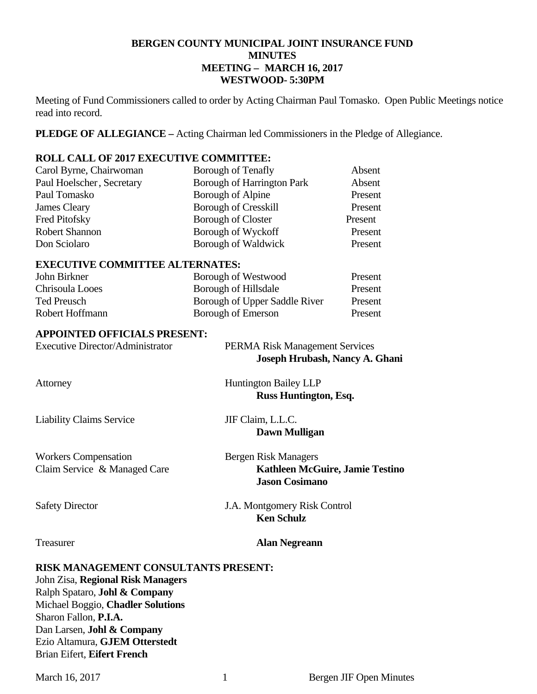#### **BERGEN COUNTY MUNICIPAL JOINT INSURANCE FUND MINUTES MEETING – MARCH 16, 2017 WESTWOOD- 5:30PM**

Meeting of Fund Commissioners called to order by Acting Chairman Paul Tomasko. Open Public Meetings notice read into record.

**PLEDGE OF ALLEGIANCE –** Acting Chairman led Commissioners in the Pledge of Allegiance.

#### **ROLL CALL OF 2017 EXECUTIVE COMMITTEE:**

| Carol Byrne, Chairwoman                | Borough of Tenafly                | Absent                |  |  |
|----------------------------------------|-----------------------------------|-----------------------|--|--|
| Paul Hoelscher, Secretary              | <b>Borough of Harrington Park</b> | Absent                |  |  |
| Paul Tomasko                           | Borough of Alpine                 | Present               |  |  |
| James Cleary                           | <b>Borough of Cresskill</b>       | Present               |  |  |
| Fred Pitofsky                          | <b>Borough of Closter</b>         | Present               |  |  |
| <b>Robert Shannon</b>                  | Borough of Wyckoff                | Present               |  |  |
| Don Sciolaro                           | Borough of Waldwick               | Present               |  |  |
| <b>EXECUTIVE COMMITTEE ALTERNATES:</b> |                                   |                       |  |  |
| John Birkner                           | Borough of Westwood               | Present               |  |  |
| $Chri$ coula Loose                     | Rorough of Hilledale              | $\mathbf{D_{racant}}$ |  |  |

|                 | .                             |         |
|-----------------|-------------------------------|---------|
| Chrisoula Looes | Borough of Hillsdale          | Present |
| Ted Preusch     | Borough of Upper Saddle River | Present |
| Robert Hoffmann | Borough of Emerson            | Present |

#### **APPOINTED OFFICIALS PRESENT:**

| <b>Executive Director/Administrator</b>                     | <b>PERMA Risk Management Services</b><br>Joseph Hrubash, Nancy A. Ghani                        |
|-------------------------------------------------------------|------------------------------------------------------------------------------------------------|
| Attorney                                                    | <b>Huntington Bailey LLP</b><br><b>Russ Huntington, Esq.</b>                                   |
| <b>Liability Claims Service</b>                             | JIF Claim, L.L.C.<br>Dawn Mulligan                                                             |
| <b>Workers Compensation</b><br>Claim Service & Managed Care | <b>Bergen Risk Managers</b><br><b>Kathleen McGuire, Jamie Testino</b><br><b>Jason Cosimano</b> |
| <b>Safety Director</b>                                      | J.A. Montgomery Risk Control<br><b>Ken Schulz</b>                                              |
| Treasurer                                                   | <b>Alan Negreann</b>                                                                           |

**RISK MANAGEMENT CONSULTANTS PRESENT:** 

John Zisa, **Regional Risk Managers** Ralph Spataro, **Johl & Company** Michael Boggio, **Chadler Solutions**  Sharon Fallon, **P.I.A.**  Dan Larsen, **Johl & Company**  Ezio Altamura, **GJEM Otterstedt**  Brian Eifert, **Eifert French**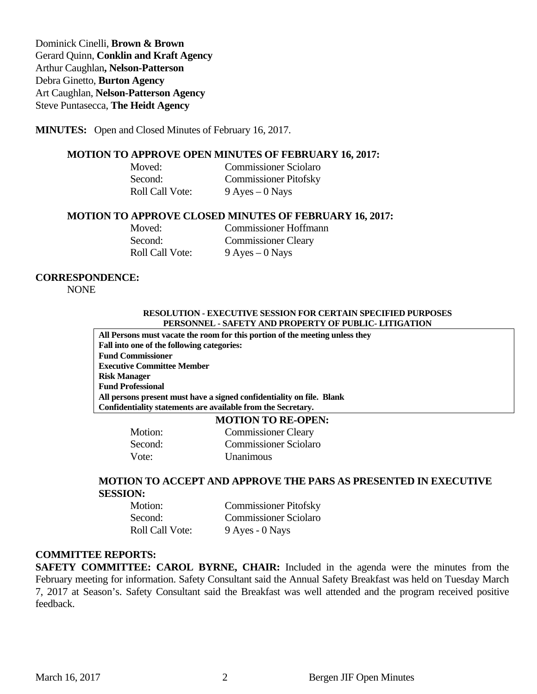Dominick Cinelli, **Brown & Brown** Gerard Quinn, **Conklin and Kraft Agency**  Arthur Caughlan**, Nelson-Patterson** Debra Ginetto, **Burton Agency**  Art Caughlan, **Nelson-Patterson Agency**  Steve Puntasecca, **The Heidt Agency** 

#### **MINUTES:** Open and Closed Minutes of February 16, 2017.

#### **MOTION TO APPROVE OPEN MINUTES OF FEBRUARY 16, 2017:**

**Moved: Commissioner Sciolaro**  Second: Commissioner Pitofsky Roll Call Vote: 9 Ayes – 0 Nays

#### **MOTION TO APPROVE CLOSED MINUTES OF FEBRUARY 16, 2017:**

**Moved: Commissioner Hoffmann**  Second: Commissioner Cleary Roll Call Vote: 9 Ayes – 0 Nays

#### **CORRESPONDENCE:**

NONE

#### **RESOLUTION - EXECUTIVE SESSION FOR CERTAIN SPECIFIED PURPOSES PERSONNEL - SAFETY AND PROPERTY OF PUBLIC- LITIGATION**

**All Persons must vacate the room for this portion of the meeting unless they Fall into one of the following categories: Fund Commissioner Executive Committee Member Risk Manager Fund Professional All persons present must have a signed confidentiality on file. Blank Confidentiality statements are available from the Secretary.** 

#### **MOTION TO RE-OPEN:**

Vote: Unanimous

Motion: Commissioner Cleary Second: Commissioner Sciolaro

#### **MOTION TO ACCEPT AND APPROVE THE PARS AS PRESENTED IN EXECUTIVE SESSION:**

| Motion:                | <b>Commissioner Pitofsky</b> |
|------------------------|------------------------------|
| Second:                | <b>Commissioner Sciolaro</b> |
| <b>Roll Call Vote:</b> | 9 Ayes - 0 Nays              |

#### **COMMITTEE REPORTS:**

**SAFETY COMMITTEE: CAROL BYRNE, CHAIR:** Included in the agenda were the minutes from the February meeting for information. Safety Consultant said the Annual Safety Breakfast was held on Tuesday March 7, 2017 at Season's. Safety Consultant said the Breakfast was well attended and the program received positive feedback.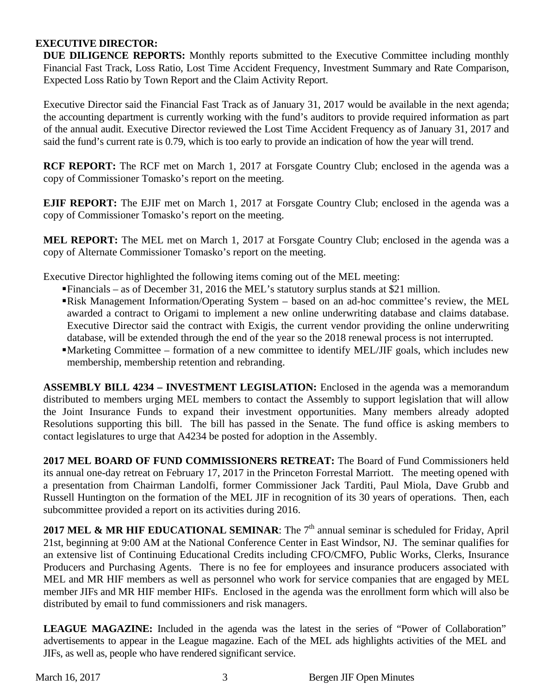#### **EXECUTIVE DIRECTOR:**

**DUE DILIGENCE REPORTS:** Monthly reports submitted to the Executive Committee including monthly Financial Fast Track, Loss Ratio, Lost Time Accident Frequency, Investment Summary and Rate Comparison, Expected Loss Ratio by Town Report and the Claim Activity Report.

Executive Director said the Financial Fast Track as of January 31, 2017 would be available in the next agenda; the accounting department is currently working with the fund's auditors to provide required information as part of the annual audit. Executive Director reviewed the Lost Time Accident Frequency as of January 31, 2017 and said the fund's current rate is 0.79, which is too early to provide an indication of how the year will trend.

**RCF REPORT:** The RCF met on March 1, 2017 at Forsgate Country Club; enclosed in the agenda was a copy of Commissioner Tomasko's report on the meeting.

**EJIF REPORT:** The EJIF met on March 1, 2017 at Forsgate Country Club; enclosed in the agenda was a copy of Commissioner Tomasko's report on the meeting.

**MEL REPORT:** The MEL met on March 1, 2017 at Forsgate Country Club; enclosed in the agenda was a copy of Alternate Commissioner Tomasko's report on the meeting.

Executive Director highlighted the following items coming out of the MEL meeting:

- Financials as of December 31, 2016 the MEL's statutory surplus stands at \$21 million.
- Risk Management Information/Operating System based on an ad-hoc committee's review, the MEL awarded a contract to Origami to implement a new online underwriting database and claims database. Executive Director said the contract with Exigis, the current vendor providing the online underwriting database, will be extended through the end of the year so the 2018 renewal process is not interrupted.
- Marketing Committee formation of a new committee to identify MEL/JIF goals, which includes new membership, membership retention and rebranding.

**ASSEMBLY BILL 4234 – INVESTMENT LEGISLATION:** Enclosed in the agenda was a memorandum distributed to members urging MEL members to contact the Assembly to support legislation that will allow the Joint Insurance Funds to expand their investment opportunities. Many members already adopted Resolutions supporting this bill. The bill has passed in the Senate. The fund office is asking members to contact legislatures to urge that A4234 be posted for adoption in the Assembly.

**2017 MEL BOARD OF FUND COMMISSIONERS RETREAT:** The Board of Fund Commissioners held its annual one-day retreat on February 17, 2017 in the Princeton Forrestal Marriott. The meeting opened with a presentation from Chairman Landolfi, former Commissioner Jack Tarditi, Paul Miola, Dave Grubb and Russell Huntington on the formation of the MEL JIF in recognition of its 30 years of operations. Then, each subcommittee provided a report on its activities during 2016.

**2017 MEL & MR HIF EDUCATIONAL SEMINAR:** The 7<sup>th</sup> annual seminar is scheduled for Friday, April 21st, beginning at 9:00 AM at the National Conference Center in East Windsor, NJ. The seminar qualifies for an extensive list of Continuing Educational Credits including CFO/CMFO, Public Works, Clerks, Insurance Producers and Purchasing Agents. There is no fee for employees and insurance producers associated with MEL and MR HIF members as well as personnel who work for service companies that are engaged by MEL member JIFs and MR HIF member HIFs. Enclosed in the agenda was the enrollment form which will also be distributed by email to fund commissioners and risk managers.

**LEAGUE MAGAZINE:** Included in the agenda was the latest in the series of "Power of Collaboration" advertisements to appear in the League magazine. Each of the MEL ads highlights activities of the MEL and JIFs, as well as, people who have rendered significant service.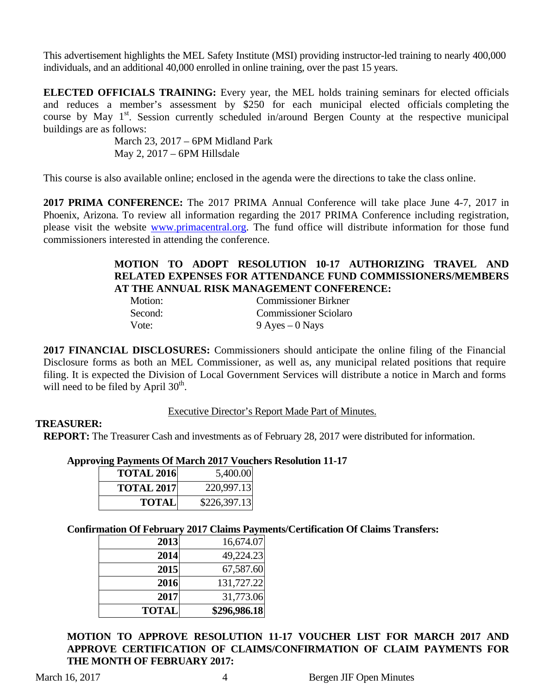This advertisement highlights the MEL Safety Institute (MSI) providing instructor-led training to nearly 400,000 individuals, and an additional 40,000 enrolled in online training, over the past 15 years.

**ELECTED OFFICIALS TRAINING:** Every year, the MEL holds training seminars for elected officials and reduces a member's assessment by \$250 for each municipal elected officials completing the course by May  $1<sup>st</sup>$ . Session currently scheduled in/around Bergen County at the respective municipal buildings are as follows:

> March 23, 2017 – 6PM Midland Park May 2, 2017 – 6PM Hillsdale

This course is also available online; enclosed in the agenda were the directions to take the class online.

**2017 PRIMA CONFERENCE:** The 2017 PRIMA Annual Conference will take place June 4-7, 2017 in Phoenix, Arizona. To review all information regarding the 2017 PRIMA Conference including registration, please visit the website www.primacentral.org. The fund office will distribute information for those fund commissioners interested in attending the conference.

#### **MOTION TO ADOPT RESOLUTION 10-17 AUTHORIZING TRAVEL AND RELATED EXPENSES FOR ATTENDANCE FUND COMMISSIONERS/MEMBERS AT THE ANNUAL RISK MANAGEMENT CONFERENCE:**

| Motion: | <b>Commissioner Birkner</b>  |
|---------|------------------------------|
| Second: | <b>Commissioner Sciolaro</b> |
| Vote:   | $9$ Ayes $-0$ Nays           |

**2017 FINANCIAL DISCLOSURES:** Commissioners should anticipate the online filing of the Financial Disclosure forms as both an MEL Commissioner, as well as, any municipal related positions that require filing. It is expected the Division of Local Government Services will distribute a notice in March and forms will need to be filed by April  $30<sup>th</sup>$ .

#### Executive Director's Report Made Part of Minutes.

#### **TREASURER:**

**REPORT:** The Treasurer Cash and investments as of February 28, 2017 were distributed for information.

#### **Approving Payments Of March 2017 Vouchers Resolution 11-17**

| <b>TOTAL 2016</b> | 5,400.00     |
|-------------------|--------------|
| <b>TOTAL 2017</b> | 220,997.13   |
| <b>TOTAL</b>      | \$226,397.13 |

#### **Confirmation Of February 2017 Claims Payments/Certification Of Claims Transfers:**

| 2013         | 16,674.07    |
|--------------|--------------|
| 2014         | 49,224.23    |
| 2015         | 67,587.60    |
| 2016         | 131,727.22   |
| 2017         | 31,773.06    |
| <b>TOTAL</b> | \$296,986.18 |

**MOTION TO APPROVE RESOLUTION 11-17 VOUCHER LIST FOR MARCH 2017 AND APPROVE CERTIFICATION OF CLAIMS/CONFIRMATION OF CLAIM PAYMENTS FOR THE MONTH OF FEBRUARY 2017:**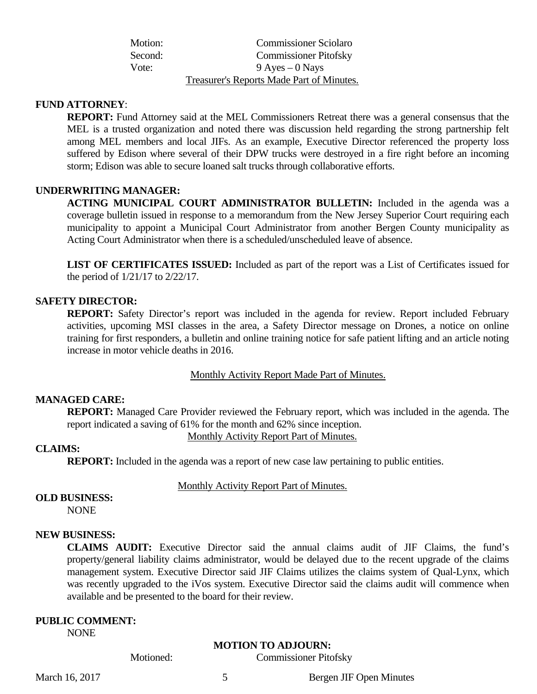| Motion: | <b>Commissioner Sciolaro</b>                     |
|---------|--------------------------------------------------|
| Second: | <b>Commissioner Pitofsky</b>                     |
| Vote:   | $9$ Ayes $-0$ Nays                               |
|         | <b>Treasurer's Reports Made Part of Minutes.</b> |

#### **FUND ATTORNEY**:

**REPORT:** Fund Attorney said at the MEL Commissioners Retreat there was a general consensus that the MEL is a trusted organization and noted there was discussion held regarding the strong partnership felt among MEL members and local JIFs. As an example, Executive Director referenced the property loss suffered by Edison where several of their DPW trucks were destroyed in a fire right before an incoming storm; Edison was able to secure loaned salt trucks through collaborative efforts.

#### **UNDERWRITING MANAGER:**

**ACTING MUNICIPAL COURT ADMINISTRATOR BULLETIN:** Included in the agenda was a coverage bulletin issued in response to a memorandum from the New Jersey Superior Court requiring each municipality to appoint a Municipal Court Administrator from another Bergen County municipality as Acting Court Administrator when there is a scheduled/unscheduled leave of absence.

**LIST OF CERTIFICATES ISSUED:** Included as part of the report was a List of Certificates issued for the period of 1/21/17 to 2/22/17.

#### **SAFETY DIRECTOR:**

**REPORT:** Safety Director's report was included in the agenda for review. Report included February activities, upcoming MSI classes in the area, a Safety Director message on Drones, a notice on online training for first responders, a bulletin and online training notice for safe patient lifting and an article noting increase in motor vehicle deaths in 2016.

Monthly Activity Report Made Part of Minutes.

#### **MANAGED CARE:**

**REPORT:** Managed Care Provider reviewed the February report, which was included in the agenda. The report indicated a saving of 61% for the month and 62% since inception.

Monthly Activity Report Part of Minutes.

#### **CLAIMS:**

**REPORT:** Included in the agenda was a report of new case law pertaining to public entities.

Monthly Activity Report Part of Minutes.

#### **OLD BUSINESS:**

NONE

#### **NEW BUSINESS:**

**CLAIMS AUDIT:** Executive Director said the annual claims audit of JIF Claims, the fund's property/general liability claims administrator, would be delayed due to the recent upgrade of the claims management system. Executive Director said JIF Claims utilizes the claims system of Qual-Lynx, which was recently upgraded to the iVos system. Executive Director said the claims audit will commence when available and be presented to the board for their review.

#### **PUBLIC COMMENT:**

NONE

#### **MOTION TO ADJOURN:**

Motioned: Commissioner Pitofsky

March 16, 2017 5 Bergen JIF Open Minutes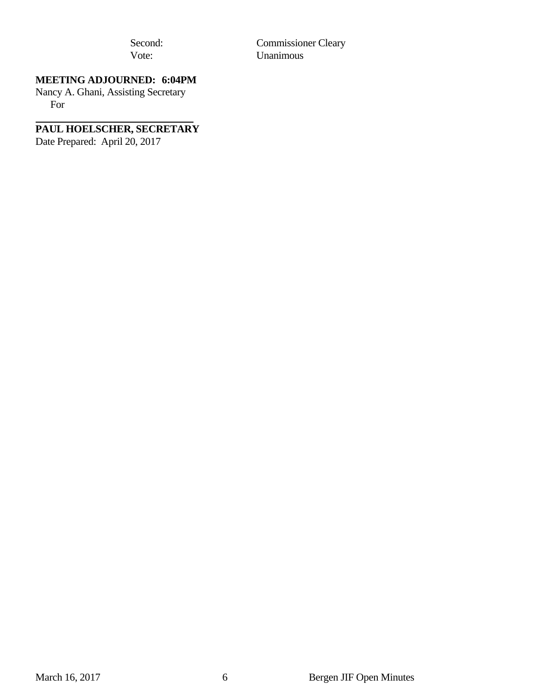Second: Commissioner Cleary<br>Vote: Unanimous **Unanimous** 

## **MEETING ADJOURNED: 6:04PM**

Nancy A. Ghani, Assisting Secretary For

# **PAUL HOELSCHER, SECRETARY**

Date Prepared: April 20, 2017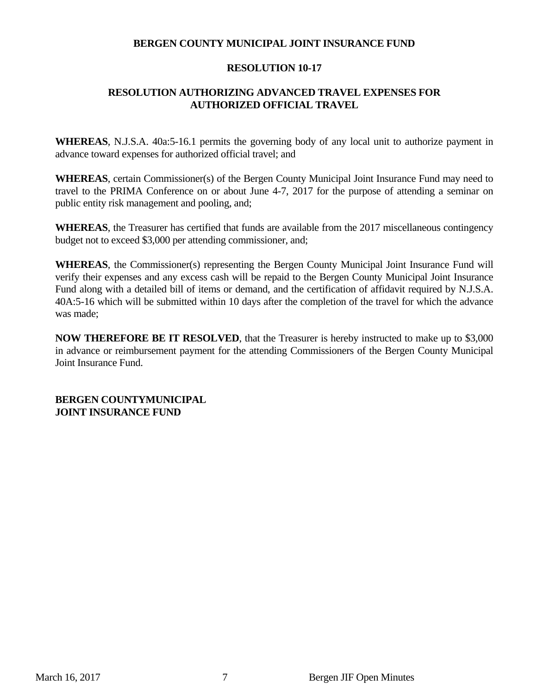#### **BERGEN COUNTY MUNICIPAL JOINT INSURANCE FUND**

#### **RESOLUTION 10-17**

### **RESOLUTION AUTHORIZING ADVANCED TRAVEL EXPENSES FOR AUTHORIZED OFFICIAL TRAVEL**

**WHEREAS**, N.J.S.A. 40a:5-16.1 permits the governing body of any local unit to authorize payment in advance toward expenses for authorized official travel; and

**WHEREAS**, certain Commissioner(s) of the Bergen County Municipal Joint Insurance Fund may need to travel to the PRIMA Conference on or about June 4-7, 2017 for the purpose of attending a seminar on public entity risk management and pooling, and;

**WHEREAS**, the Treasurer has certified that funds are available from the 2017 miscellaneous contingency budget not to exceed \$3,000 per attending commissioner, and;

**WHEREAS**, the Commissioner(s) representing the Bergen County Municipal Joint Insurance Fund will verify their expenses and any excess cash will be repaid to the Bergen County Municipal Joint Insurance Fund along with a detailed bill of items or demand, and the certification of affidavit required by N.J.S.A. 40A:5-16 which will be submitted within 10 days after the completion of the travel for which the advance was made;

**NOW THEREFORE BE IT RESOLVED**, that the Treasurer is hereby instructed to make up to \$3,000 in advance or reimbursement payment for the attending Commissioners of the Bergen County Municipal Joint Insurance Fund.

**BERGEN COUNTYMUNICIPAL JOINT INSURANCE FUND**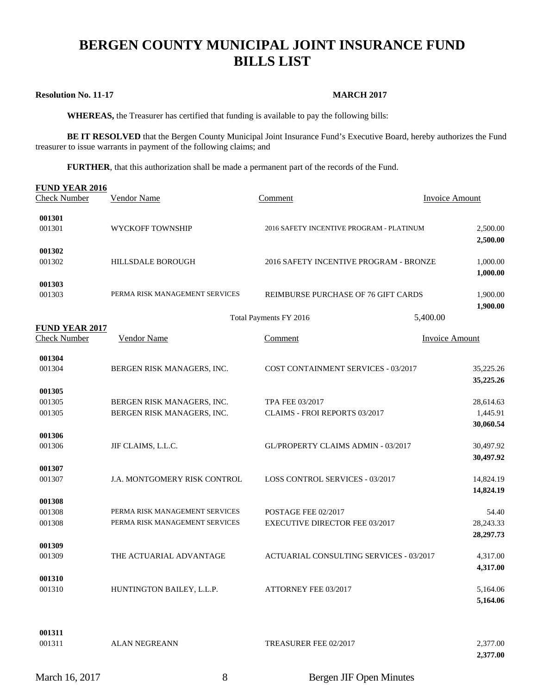# **BERGEN COUNTY MUNICIPAL JOINT INSURANCE FUND BILLS LIST**

#### **Resolution No. 11-17 MARCH 2017**

 **WHEREAS,** the Treasurer has certified that funding is available to pay the following bills:

**BE IT RESOLVED** that the Bergen County Municipal Joint Insurance Fund's Executive Board, hereby authorizes the Fund treasurer to issue warrants in payment of the following claims; and

**FURTHER**, that this authorization shall be made a permanent part of the records of the Fund.

| FUND YEAR 2016<br><b>Check Number</b>        | <b>Vendor Name</b>                                       | Comment                                                 | <b>Invoice Amount</b> |
|----------------------------------------------|----------------------------------------------------------|---------------------------------------------------------|-----------------------|
|                                              |                                                          |                                                         |                       |
| 001301                                       |                                                          |                                                         |                       |
| 001301                                       | WYCKOFF TOWNSHIP                                         | 2016 SAFETY INCENTIVE PROGRAM - PLATINUM                | 2,500.00              |
|                                              |                                                          |                                                         | 2,500.00              |
| 001302<br>001302                             | <b>HILLSDALE BOROUGH</b>                                 | 2016 SAFETY INCENTIVE PROGRAM - BRONZE                  | 1,000.00              |
|                                              |                                                          |                                                         | 1,000.00              |
| 001303                                       |                                                          |                                                         |                       |
| 001303                                       | PERMA RISK MANAGEMENT SERVICES                           | REIMBURSE PURCHASE OF 76 GIFT CARDS                     | 1,900.00              |
|                                              |                                                          |                                                         | 1,900.00              |
|                                              |                                                          | Total Payments FY 2016                                  | 5,400.00              |
| <b>FUND YEAR 2017</b><br><b>Check Number</b> | <b>Vendor Name</b>                                       | Comment                                                 | <b>Invoice Amount</b> |
|                                              |                                                          |                                                         |                       |
| 001304                                       |                                                          |                                                         |                       |
| 001304                                       | BERGEN RISK MANAGERS, INC.                               | COST CONTAINMENT SERVICES - 03/2017                     | 35,225.26             |
|                                              |                                                          |                                                         | 35,225.26             |
| 001305                                       |                                                          |                                                         |                       |
| 001305<br>001305                             | BERGEN RISK MANAGERS, INC.<br>BERGEN RISK MANAGERS, INC. | TPA FEE 03/2017<br><b>CLAIMS - FROI REPORTS 03/2017</b> | 28,614.63<br>1,445.91 |
|                                              |                                                          |                                                         | 30,060.54             |
| 001306                                       |                                                          |                                                         |                       |
| 001306                                       | JIF CLAIMS, L.L.C.                                       | GL/PROPERTY CLAIMS ADMIN - 03/2017                      | 30,497.92             |
|                                              |                                                          |                                                         | 30,497.92             |
| 001307                                       |                                                          |                                                         |                       |
| 001307                                       | J.A. MONTGOMERY RISK CONTROL                             | <b>LOSS CONTROL SERVICES - 03/2017</b>                  | 14,824.19             |
| 001308                                       |                                                          |                                                         | 14,824.19             |
| 001308                                       | PERMA RISK MANAGEMENT SERVICES                           | POSTAGE FEE 02/2017                                     | 54.40                 |
| 001308                                       | PERMA RISK MANAGEMENT SERVICES                           | <b>EXECUTIVE DIRECTOR FEE 03/2017</b>                   | 28, 243. 33           |
|                                              |                                                          |                                                         | 28,297.73             |
| 001309                                       |                                                          |                                                         |                       |
| 001309                                       | THE ACTUARIAL ADVANTAGE                                  | ACTUARIAL CONSULTING SERVICES - 03/2017                 | 4,317.00              |
|                                              |                                                          |                                                         | 4,317.00              |
| 001310<br>001310                             | HUNTINGTON BAILEY, L.L.P.                                | ATTORNEY FEE 03/2017                                    | 5,164.06              |
|                                              |                                                          |                                                         | 5,164.06              |
|                                              |                                                          |                                                         |                       |
|                                              |                                                          |                                                         |                       |
| 001311                                       |                                                          |                                                         |                       |
| 001311                                       | <b>ALAN NEGREANN</b>                                     | TREASURER FEE 02/2017                                   | 2,377.00<br>2,377.00  |
|                                              |                                                          |                                                         |                       |